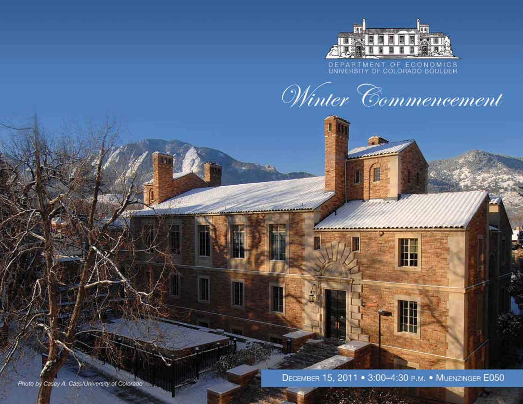

# DEPARTMENT OF ECONOMICS<br>UNIVERSITY OF COLORADO BOULDER



 $\frac{1}{2}$ 

DECEMBER 15, 2011 . 3:00-4:30 P.M. . MUENZINGER E050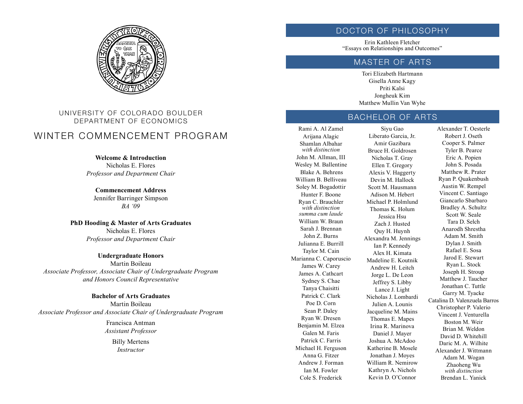

# UNIVERSITY OF COLORADO BOULDER DEPARTMENT OF ECONOMICS

# WINTER COMMENCEMENT PROGRAM

**Welcome & Introduction** Nicholas E. Flores *Professor and Department Chair*

**Commencement Address** Jennifer Barringer Simpson *BA '09*

**PhD Hooding & Master of Arts Graduates** Nicholas E. Flores *Professor and Department Chair*

**Undergraduate Honors** Martin Boileau *Associate Professor, Associate Chair of Undergraduate Program and Honors Council Representative*

**Bachelor of Arts Graduates** Martin Boileau *Associate Professor and Associate Chair of Undergraduate Program*

> Francisca Antman *Assistant Professor* Billy Mertens *Instructor*

#### DOCTOR OF PHILOSOPHY

Erin Kathleen Fletcher "Essays on Relationships and Outcomes"

# MASTER OF ARTS

Tori Elizabeth Hartmann Gisella Anne Kagy Priti Kalsi Jongheuk Kim Matthew Mullin Van Wyhe

# BACHELOR OF ARTS

Rami A. Al Zamel Arijana Alagic Shamlan Albahar *with distinction* John M. Allman, III Wesley M. Ballentine Blake A. Behrens William B. Belliveau Soley M. Bogadottir Hunter F. Boone Ryan C. Brauchler *with distinction summa cum laude* William W. Braun Sarah J. Brennan John Z. Burns Julianna E. Burrill Taylor M. Cain Marianna C. Caporuscio James W. Carey James A. Cathcart Sydney S. Chae Tanya Chaisitti Patrick C. Clark Poe D. Corn Sean P. Daley Ryan W. Dresen Benjamin M. Elzea Galen M. Faris Patrick C. Farris Michael H. Ferguson Anna G. Fitzer Andrew J. Forman Ian M. Fowler Cole S. Frederick

Siyu Gao Liberato Garcia, Jr. Amir Gazibara Bruce H. Goldrosen Nicholas T. Gray Ellen T. Gregory Alexis V. Haggerty Devin M. Hallock Scott M. Hausmann Adison M. Hebert Michael P. Holmlund Thomas K. Holum Jessica Hsu Zach J. Husted Quy H. Huynh Alexandra M. Jennings Ian P. Kennedy Alex H. Kimata Madeline E. Koutnik Andrew H. Leitch Jorge L. De Leon Jeffrey S. Libby Lance J. Light Nicholas J. Lombardi Julien A. Lounis Jacqueline M. Mains Thomas E. Mapes Irina R. Marinova Daniel J. Mayer Joshua A. McAdoo Katherine B. Mosele Jonathan J. Moyes William R. Nemirow Kathryn A. Nichols Kevin D. O'Connor

Alexander T. Oesterle Robert J. Oseth Cooper S. Palmer Tyler B. Pearce Eric A. Popien John S. Posada Matthew R. Prater Ryan P. Quakenbush Austin W. Rempel Vincent C. Santiago Giancarlo Sbarbaro Bradley A. Schultz Scott W. Seale Tara D. Selch Anarodh Shrestha Adam M. Smith Dylan J. Smith Rafael E. Sosa Jarod E. Stewart Ryan L. Stock Joseph H. Stroup Matthew J. Taucher Jonathan C. Tuttle Garry M. Tyacke Catalina D. Valenzuela Barros Christopher P. Valerio Vincent J. Venturella Boston M. Weir Brian M. Weldon David D. Whitehill Daric M. A. Wilhite Alexander J. Wittmann Adam M. Wogan Zhaoheng Wu *with distinction* Brendan L. Yanick